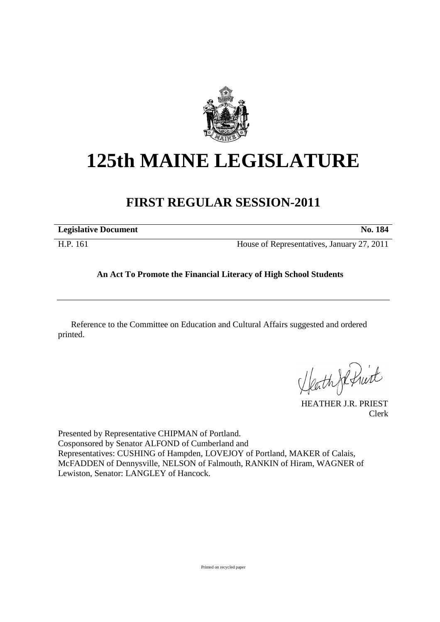

# **125th MAINE LEGISLATURE**

# **FIRST REGULAR SESSION-2011**

**Legislative Document No. 184** 

H.P. 161 House of Representatives, January 27, 2011

## **An Act To Promote the Financial Literacy of High School Students**

Reference to the Committee on Education and Cultural Affairs suggested and ordered printed.

Heath Je Print

HEATHER J.R. PRIEST Clerk

Presented by Representative CHIPMAN of Portland. Cosponsored by Senator ALFOND of Cumberland and Representatives: CUSHING of Hampden, LOVEJOY of Portland, MAKER of Calais, McFADDEN of Dennysville, NELSON of Falmouth, RANKIN of Hiram, WAGNER of Lewiston, Senator: LANGLEY of Hancock.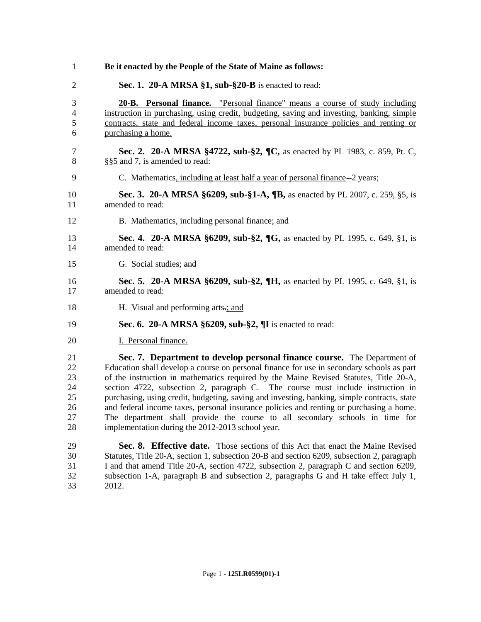| $\mathbf{1}$                                 | Be it enacted by the People of the State of Maine as follows:                                                                                                                                                                                                                                                                                                                                                                                                                                                                                                                                                                                                                   |
|----------------------------------------------|---------------------------------------------------------------------------------------------------------------------------------------------------------------------------------------------------------------------------------------------------------------------------------------------------------------------------------------------------------------------------------------------------------------------------------------------------------------------------------------------------------------------------------------------------------------------------------------------------------------------------------------------------------------------------------|
| $\overline{2}$                               | Sec. 1. 20-A MRSA $\S1$ , sub- $\S20$ -B is enacted to read:                                                                                                                                                                                                                                                                                                                                                                                                                                                                                                                                                                                                                    |
| 3<br>$\overline{4}$<br>5<br>6                | 20-B. Personal finance. "Personal finance" means a course of study including<br>instruction in purchasing, using credit, budgeting, saving and investing, banking, simple<br>contracts, state and federal income taxes, personal insurance policies and renting or<br>purchasing a home.                                                                                                                                                                                                                                                                                                                                                                                        |
| 7<br>8                                       | Sec. 2. 20-A MRSA §4722, sub-§2, ¶C, as enacted by PL 1983, c. 859, Pt. C,<br>§§5 and 7, is amended to read:                                                                                                                                                                                                                                                                                                                                                                                                                                                                                                                                                                    |
| 9                                            | C. Mathematics, including at least half a year of personal finance--2 years;                                                                                                                                                                                                                                                                                                                                                                                                                                                                                                                                                                                                    |
| 10<br>11                                     | Sec. 3. 20-A MRSA §6209, sub-§1-A, ¶B, as enacted by PL 2007, c. 259, §5, is<br>amended to read:                                                                                                                                                                                                                                                                                                                                                                                                                                                                                                                                                                                |
| 12                                           | B. Mathematics, including personal finance; and                                                                                                                                                                                                                                                                                                                                                                                                                                                                                                                                                                                                                                 |
| 13<br>14                                     | Sec. 4. 20-A MRSA §6209, sub-§2, ¶G, as enacted by PL 1995, c. 649, §1, is<br>amended to read:                                                                                                                                                                                                                                                                                                                                                                                                                                                                                                                                                                                  |
| 15                                           | G. Social studies; and                                                                                                                                                                                                                                                                                                                                                                                                                                                                                                                                                                                                                                                          |
| 16<br>17                                     | <b>Sec. 5. 20-A MRSA §6209, sub-§2, ¶H, as enacted by PL 1995, c. 649, §1, is</b><br>amended to read:                                                                                                                                                                                                                                                                                                                                                                                                                                                                                                                                                                           |
| 18                                           | H. Visual and performing arts.; and                                                                                                                                                                                                                                                                                                                                                                                                                                                                                                                                                                                                                                             |
| 19                                           | Sec. 6. 20-A MRSA $\S6209$ , sub- $\S2$ , II is enacted to read:                                                                                                                                                                                                                                                                                                                                                                                                                                                                                                                                                                                                                |
| 20                                           | I. Personal finance.                                                                                                                                                                                                                                                                                                                                                                                                                                                                                                                                                                                                                                                            |
| 21<br>22<br>23<br>24<br>25<br>26<br>27<br>28 | Sec. 7. Department to develop personal finance course. The Department of<br>Education shall develop a course on personal finance for use in secondary schools as part<br>of the instruction in mathematics required by the Maine Revised Statutes, Title 20-A,<br>section 4722, subsection 2, paragraph C. The course must include instruction in<br>purchasing, using credit, budgeting, saving and investing, banking, simple contracts, state<br>and federal income taxes, personal insurance policies and renting or purchasing a home.<br>The department shall provide the course to all secondary schools in time for<br>implementation during the 2012-2013 school year. |
| 29<br>30<br>31<br>32                         | Sec. 8. Effective date. Those sections of this Act that enact the Maine Revised<br>Statutes, Title 20-A, section 1, subsection 20-B and section 6209, subsection 2, paragraph<br>I and that amend Title 20-A, section 4722, subsection 2, paragraph C and section 6209,<br>subsection 1-A, paragraph B and subsection 2, paragraphs G and H take effect July 1,                                                                                                                                                                                                                                                                                                                 |

2012.